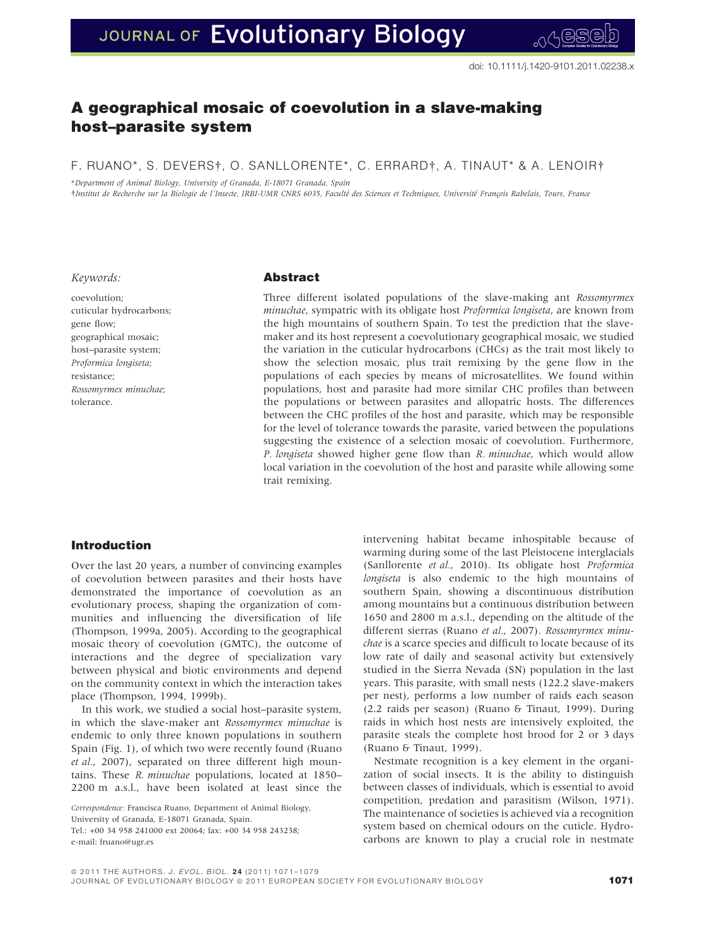# A geographical mosaic of coevolution in a slave-making host–parasite system

F. RUANO\*, S. DEVERS†, O. SANLLORENTE\*, C. ERRARD†, A. TINAUT\* & A. LENOIR†

\*Department of Animal Biology, University of Granada, E-18071 Granada, Spain †Institut de Recherche sur la Biologie de l'Insecte, IRBI-UMR CNRS 6035, Faculté des Sciences et Techniques, Université François Rabelais, Tours, France

#### Keywords:

coevolution; cuticular hydrocarbons; gene flow; geographical mosaic; host–parasite system; Proformica longiseta; resistance; Rossomyrmex minuchae; tolerance.

# Abstract

Three different isolated populations of the slave-making ant Rossomyrmex minuchae, sympatric with its obligate host Proformica longiseta, are known from the high mountains of southern Spain. To test the prediction that the slavemaker and its host represent a coevolutionary geographical mosaic, we studied the variation in the cuticular hydrocarbons (CHCs) as the trait most likely to show the selection mosaic, plus trait remixing by the gene flow in the populations of each species by means of microsatellites. We found within populations, host and parasite had more similar CHC profiles than between the populations or between parasites and allopatric hosts. The differences between the CHC profiles of the host and parasite, which may be responsible for the level of tolerance towards the parasite, varied between the populations suggesting the existence of a selection mosaic of coevolution. Furthermore, P. longiseta showed higher gene flow than R. minuchae, which would allow local variation in the coevolution of the host and parasite while allowing some trait remixing.

# Introduction

Over the last 20 years, a number of convincing examples of coevolution between parasites and their hosts have demonstrated the importance of coevolution as an evolutionary process, shaping the organization of communities and influencing the diversification of life (Thompson, 1999a, 2005). According to the geographical mosaic theory of coevolution (GMTC), the outcome of interactions and the degree of specialization vary between physical and biotic environments and depend on the community context in which the interaction takes place (Thompson, 1994, 1999b).

In this work, we studied a social host–parasite system, in which the slave-maker ant Rossomyrmex minuchae is endemic to only three known populations in southern Spain (Fig. 1), of which two were recently found (Ruano et al., 2007), separated on three different high mountains. These R. minuchae populations, located at 1850– 2200 m a.s.l., have been isolated at least since the

Correspondence: Francisca Ruano, Department of Animal Biology, University of Granada, E-18071 Granada, Spain. Tel.: +00 34 958 241000 ext 20064; fax: +00 34 958 243238; e-mail: fruano@ugr.es

intervening habitat became inhospitable because of warming during some of the last Pleistocene interglacials (Sanllorente et al., 2010). Its obligate host Proformica longiseta is also endemic to the high mountains of southern Spain, showing a discontinuous distribution among mountains but a continuous distribution between 1650 and 2800 m a.s.l., depending on the altitude of the different sierras (Ruano et al., 2007). Rossomyrmex minuchae is a scarce species and difficult to locate because of its low rate of daily and seasonal activity but extensively studied in the Sierra Nevada (SN) population in the last years. This parasite, with small nests (122.2 slave-makers per nest), performs a low number of raids each season (2.2 raids per season) (Ruano & Tinaut, 1999). During raids in which host nests are intensively exploited, the parasite steals the complete host brood for 2 or 3 days (Ruano & Tinaut, 1999).

Nestmate recognition is a key element in the organization of social insects. It is the ability to distinguish between classes of individuals, which is essential to avoid competition, predation and parasitism (Wilson, 1971). The maintenance of societies is achieved via a recognition system based on chemical odours on the cuticle. Hydrocarbons are known to play a crucial role in nestmate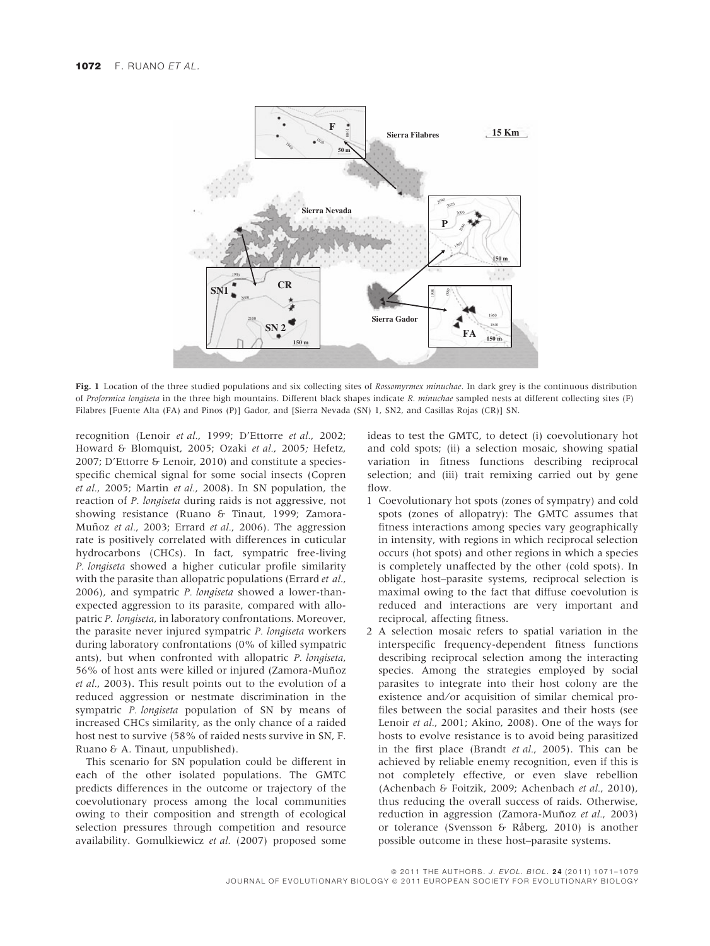

Fig. 1 Location of the three studied populations and six collecting sites of Rossomyrmex minuchae. In dark grey is the continuous distribution of Proformica longiseta in the three high mountains. Different black shapes indicate R. minuchae sampled nests at different collecting sites (F) Filabres [Fuente Alta (FA) and Pinos (P)] Gador, and [Sierra Nevada (SN) 1, SN2, and Casillas Rojas (CR)] SN.

recognition (Lenoir et al., 1999; D'Ettorre et al., 2002; Howard & Blomquist, 2005; Ozaki et al., 2005; Hefetz, 2007; D'Ettorre & Lenoir, 2010) and constitute a speciesspecific chemical signal for some social insects (Copren et al., 2005; Martin et al., 2008). In SN population, the reaction of P. longiseta during raids is not aggressive, not showing resistance (Ruano & Tinaut, 1999; Zamora-Muñoz et al., 2003; Errard et al., 2006). The aggression rate is positively correlated with differences in cuticular hydrocarbons (CHCs). In fact, sympatric free-living P. longiseta showed a higher cuticular profile similarity with the parasite than allopatric populations (Errard et al., 2006), and sympatric P. longiseta showed a lower-thanexpected aggression to its parasite, compared with allopatric P. longiseta, in laboratory confrontations. Moreover, the parasite never injured sympatric P. longiseta workers during laboratory confrontations (0% of killed sympatric ants), but when confronted with allopatric P. longiseta, 56% of host ants were killed or injured (Zamora-Muñoz et al., 2003). This result points out to the evolution of a reduced aggression or nestmate discrimination in the sympatric P. longiseta population of SN by means of increased CHCs similarity, as the only chance of a raided host nest to survive (58% of raided nests survive in SN, F. Ruano & A. Tinaut, unpublished).

This scenario for SN population could be different in each of the other isolated populations. The GMTC predicts differences in the outcome or trajectory of the coevolutionary process among the local communities owing to their composition and strength of ecological selection pressures through competition and resource availability. Gomulkiewicz et al. (2007) proposed some ideas to test the GMTC, to detect (i) coevolutionary hot and cold spots; (ii) a selection mosaic, showing spatial variation in fitness functions describing reciprocal selection; and (iii) trait remixing carried out by gene flow.

- 1 Coevolutionary hot spots (zones of sympatry) and cold spots (zones of allopatry): The GMTC assumes that fitness interactions among species vary geographically in intensity, with regions in which reciprocal selection occurs (hot spots) and other regions in which a species is completely unaffected by the other (cold spots). In obligate host–parasite systems, reciprocal selection is maximal owing to the fact that diffuse coevolution is reduced and interactions are very important and reciprocal, affecting fitness.
- 2 A selection mosaic refers to spatial variation in the interspecific frequency-dependent fitness functions describing reciprocal selection among the interacting species. Among the strategies employed by social parasites to integrate into their host colony are the existence and/or acquisition of similar chemical profiles between the social parasites and their hosts (see Lenoir et al., 2001; Akino, 2008). One of the ways for hosts to evolve resistance is to avoid being parasitized in the first place (Brandt et al., 2005). This can be achieved by reliable enemy recognition, even if this is not completely effective, or even slave rebellion (Achenbach & Foitzik, 2009; Achenbach et al., 2010), thus reducing the overall success of raids. Otherwise, reduction in aggression (Zamora-Muñoz et al., 2003) or tolerance (Svensson & Råberg, 2010) is another possible outcome in these host–parasite systems.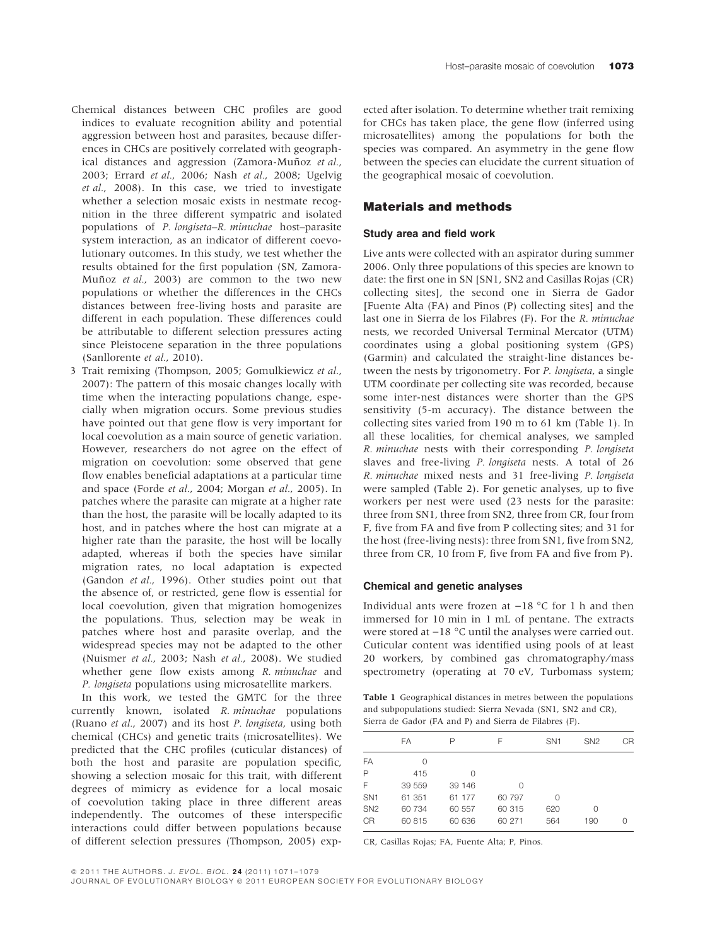- Chemical distances between CHC profiles are good indices to evaluate recognition ability and potential aggression between host and parasites, because differences in CHCs are positively correlated with geographical distances and aggression (Zamora-Muñoz et al., 2003; Errard et al., 2006; Nash et al., 2008; Ugelvig et al., 2008). In this case, we tried to investigate whether a selection mosaic exists in nestmate recognition in the three different sympatric and isolated populations of P. longiseta–R. minuchae host–parasite system interaction, as an indicator of different coevolutionary outcomes. In this study, we test whether the results obtained for the first population (SN, Zamora-Muñoz et al., 2003) are common to the two new populations or whether the differences in the CHCs distances between free-living hosts and parasite are different in each population. These differences could be attributable to different selection pressures acting since Pleistocene separation in the three populations (Sanllorente et al., 2010).
- 3 Trait remixing (Thompson, 2005; Gomulkiewicz et al., 2007): The pattern of this mosaic changes locally with time when the interacting populations change, especially when migration occurs. Some previous studies have pointed out that gene flow is very important for local coevolution as a main source of genetic variation. However, researchers do not agree on the effect of migration on coevolution: some observed that gene flow enables beneficial adaptations at a particular time and space (Forde et al., 2004; Morgan et al., 2005). In patches where the parasite can migrate at a higher rate than the host, the parasite will be locally adapted to its host, and in patches where the host can migrate at a higher rate than the parasite, the host will be locally adapted, whereas if both the species have similar migration rates, no local adaptation is expected (Gandon et al., 1996). Other studies point out that the absence of, or restricted, gene flow is essential for local coevolution, given that migration homogenizes the populations. Thus, selection may be weak in patches where host and parasite overlap, and the widespread species may not be adapted to the other (Nuismer et al., 2003; Nash et al., 2008). We studied whether gene flow exists among R. minuchae and P. longiseta populations using microsatellite markers.

In this work, we tested the GMTC for the three currently known, isolated R. minuchae populations (Ruano et al., 2007) and its host P. longiseta, using both chemical (CHCs) and genetic traits (microsatellites). We predicted that the CHC profiles (cuticular distances) of both the host and parasite are population specific, showing a selection mosaic for this trait, with different degrees of mimicry as evidence for a local mosaic of coevolution taking place in three different areas independently. The outcomes of these interspecific interactions could differ between populations because of different selection pressures (Thompson, 2005) expected after isolation. To determine whether trait remixing for CHCs has taken place, the gene flow (inferred using microsatellites) among the populations for both the species was compared. An asymmetry in the gene flow between the species can elucidate the current situation of the geographical mosaic of coevolution.

# Materials and methods

## Study area and field work

Live ants were collected with an aspirator during summer 2006. Only three populations of this species are known to date: the first one in SN [SN1, SN2 and Casillas Rojas (CR) collecting sites], the second one in Sierra de Gador [Fuente Alta (FA) and Pinos (P) collecting sites] and the last one in Sierra de los Filabres (F). For the R. minuchae nests, we recorded Universal Terminal Mercator (UTM) coordinates using a global positioning system (GPS) (Garmin) and calculated the straight-line distances between the nests by trigonometry. For P. longiseta, a single UTM coordinate per collecting site was recorded, because some inter-nest distances were shorter than the GPS sensitivity (5-m accuracy). The distance between the collecting sites varied from 190 m to 61 km (Table 1). In all these localities, for chemical analyses, we sampled R. minuchae nests with their corresponding P. longiseta slaves and free-living P. longiseta nests. A total of 26 R. minuchae mixed nests and 31 free-living P. longiseta were sampled (Table 2). For genetic analyses, up to five workers per nest were used (23 nests for the parasite: three from SN1, three from SN2, three from CR, four from F, five from FA and five from P collecting sites; and 31 for the host (free-living nests): three from SN1, five from SN2, three from CR, 10 from F, five from FA and five from P).

#### Chemical and genetic analyses

Individual ants were frozen at  $-18$  °C for 1 h and then immersed for 10 min in 1 mL of pentane. The extracts were stored at  $-18$  °C until the analyses were carried out. Cuticular content was identified using pools of at least 20 workers, by combined gas chromatography/mass spectrometry (operating at 70 eV, Turbomass system;

Table 1 Geographical distances in metres between the populations and subpopulations studied: Sierra Nevada (SN1, SN2 and CR), Sierra de Gador (FA and P) and Sierra de Filabres (F).

|                 | FA     | ₽      | F      | SN <sub>1</sub> | SN <sub>2</sub> | CR |
|-----------------|--------|--------|--------|-----------------|-----------------|----|
| FA              | 0      |        |        |                 |                 |    |
| P               | 415    | 0      |        |                 |                 |    |
| F               | 39 559 | 39 146 | 0      |                 |                 |    |
| SN <sub>1</sub> | 61 351 | 61 177 | 60 797 |                 |                 |    |
| SN <sub>2</sub> | 60 734 | 60 557 | 60 315 | 620             | 0               |    |
| <b>CR</b>       | 60 815 | 60 636 | 60 271 | 564             | 190             |    |
|                 |        |        |        |                 |                 |    |

CR, Casillas Rojas; FA, Fuente Alta; P, Pinos.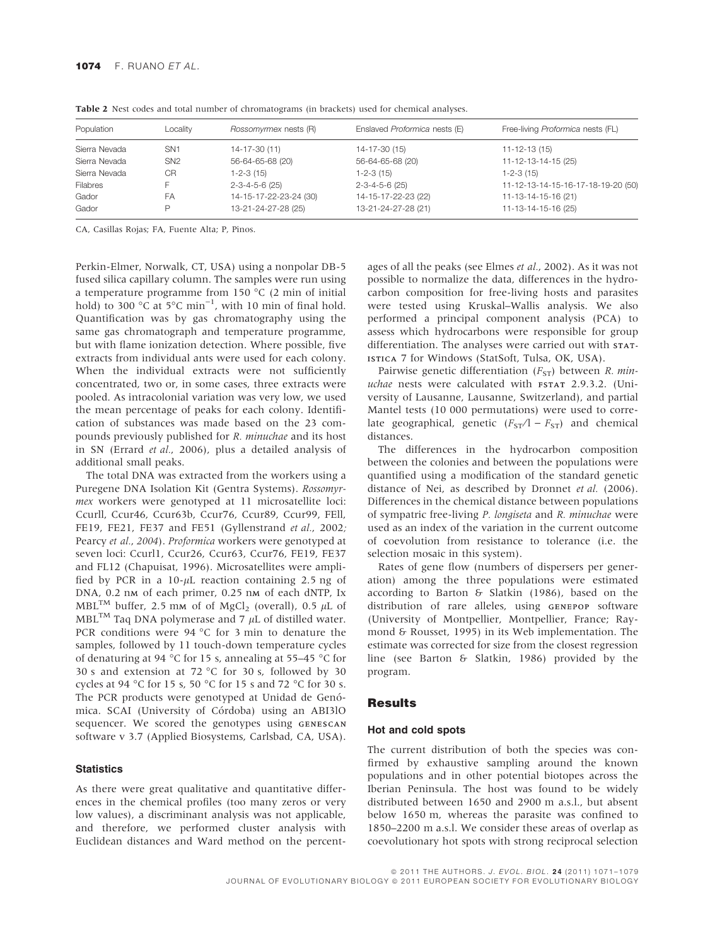| Population    | Localitv        | Rossomyrmex nests (R)    | Enslaved Proformica nests (E) | Free-living Proformica nests (FL)  |
|---------------|-----------------|--------------------------|-------------------------------|------------------------------------|
| Sierra Nevada | SN <sub>1</sub> | 14-17-30 (11)            | 14-17-30 (15)                 | 11-12-13 (15)                      |
| Sierra Nevada | SN <sub>2</sub> | 56-64-65-68 (20)         | 56-64-65-68 (20)              | 11-12-13-14-15 (25)                |
| Sierra Nevada | СR              | $1 - 2 - 3(15)$          | $1 - 2 - 3(15)$               | $1 - 2 - 3(15)$                    |
| Filabres      | E               | $2 - 3 - 4 - 5 - 6$ (25) | $2 - 3 - 4 - 5 - 6$ (25)      | 11-12-13-14-15-16-17-18-19-20 (50) |
| Gador         | FA              | 14-15-17-22-23-24 (30)   | 14-15-17-22-23 (22)           | 11-13-14-15-16 (21)                |
| Gador         | P               | 13-21-24-27-28 (25)      | 13-21-24-27-28 (21)           | 11-13-14-15-16 (25)                |

Table 2 Nest codes and total number of chromatograms (in brackets) used for chemical analyses.

CA, Casillas Rojas; FA, Fuente Alta; P, Pinos.

Perkin-Elmer, Norwalk, CT, USA) using a nonpolar DB-5 fused silica capillary column. The samples were run using a temperature programme from 150  $\degree$ C (2 min of initial hold) to 300  $\mathrm{^{\circ}C}$  at 5 $\mathrm{^{\circ}C}$  min<sup>-1</sup>, with 10 min of final hold. Quantification was by gas chromatography using the same gas chromatograph and temperature programme, but with flame ionization detection. Where possible, five extracts from individual ants were used for each colony. When the individual extracts were not sufficiently concentrated, two or, in some cases, three extracts were pooled. As intracolonial variation was very low, we used the mean percentage of peaks for each colony. Identification of substances was made based on the 23 compounds previously published for R. minuchae and its host in SN (Errard et al., 2006), plus a detailed analysis of additional small peaks.

The total DNA was extracted from the workers using a Puregene DNA Isolation Kit (Gentra Systems). Rossomyrmex workers were genotyped at 11 microsatellite loci: Ccurll, Ccur46, Ccur63b, Ccur76, Ccur89, Ccur99, FEll, FE19, FE21, FE37 and FE51 (Gyllenstrand et al., 2002; Pearcy et al., 2004). Proformica workers were genotyped at seven loci: Ccurl1, Ccur26, Ccur63, Ccur76, FE19, FE37 and FL12 (Chapuisat, 1996). Microsatellites were amplified by PCR in a  $10-\mu$ L reaction containing 2.5 ng of DNA, 0.2 nm of each primer, 0.25 nm of each dNTP, Ix  $MBL<sup>TM</sup>$  buffer, 2.5 mm of of MgCl<sub>2</sub> (overall), 0.5  $\mu$ L of  $MBL^{TM}$  Taq DNA polymerase and 7  $\mu$ L of distilled water. PCR conditions were  $94 °C$  for 3 min to denature the samples, followed by 11 touch-down temperature cycles of denaturing at 94 °C for 15 s, annealing at 55–45 °C for 30 s and extension at  $72 °C$  for 30 s, followed by 30 cycles at 94 °C for 15 s, 50 °C for 15 s and 72 °C for 30 s. The PCR products were genotyped at Unidad de Genómica. SCAI (University of Córdoba) using an ABI3lO sequencer. We scored the genotypes using GENESCAN software v 3.7 (Applied Biosystems, Carlsbad, CA, USA).

#### **Statistics**

As there were great qualitative and quantitative differences in the chemical profiles (too many zeros or very low values), a discriminant analysis was not applicable, and therefore, we performed cluster analysis with Euclidean distances and Ward method on the percentages of all the peaks (see Elmes et al., 2002). As it was not possible to normalize the data, differences in the hydrocarbon composition for free-living hosts and parasites were tested using Kruskal–Wallis analysis. We also performed a principal component analysis (PCA) to assess which hydrocarbons were responsible for group differentiation. The analyses were carried out with STAT-ISTICA 7 for Windows (StatSoft, Tulsa, OK, USA).

Pairwise genetic differentiation  $(F_{ST})$  between R. minuchae nests were calculated with FSTAT 2.9.3.2. (University of Lausanne, Lausanne, Switzerland), and partial Mantel tests (10 000 permutations) were used to correlate geographical, genetic  $(F_{ST}/I - F_{ST})$  and chemical distances.

The differences in the hydrocarbon composition between the colonies and between the populations were quantified using a modification of the standard genetic distance of Nei, as described by Dronnet et al. (2006). Differences in the chemical distance between populations of sympatric free-living P. longiseta and R. minuchae were used as an index of the variation in the current outcome of coevolution from resistance to tolerance (i.e. the selection mosaic in this system).

Rates of gene flow (numbers of dispersers per generation) among the three populations were estimated according to Barton & Slatkin (1986), based on the distribution of rare alleles, using GENEPOP software (University of Montpellier, Montpellier, France; Raymond & Rousset, 1995) in its Web implementation. The estimate was corrected for size from the closest regression line (see Barton & Slatkin, 1986) provided by the program.

# **Results**

## Hot and cold spots

The current distribution of both the species was confirmed by exhaustive sampling around the known populations and in other potential biotopes across the Iberian Peninsula. The host was found to be widely distributed between 1650 and 2900 m a.s.l., but absent below 1650 m, whereas the parasite was confined to 1850–2200 m a.s.l. We consider these areas of overlap as coevolutionary hot spots with strong reciprocal selection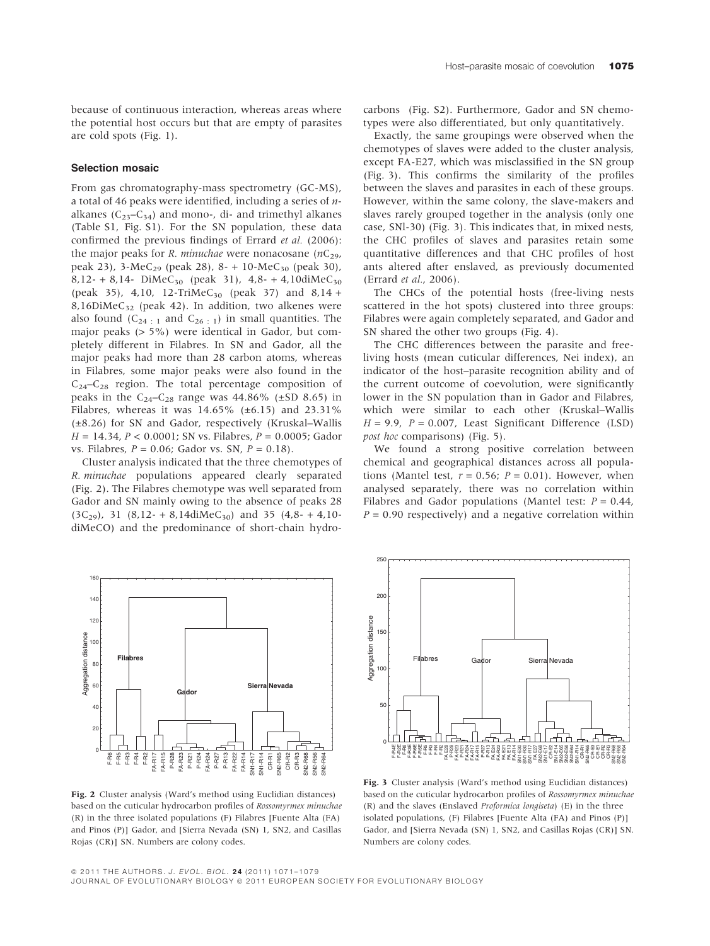because of continuous interaction, whereas areas where the potential host occurs but that are empty of parasites are cold spots (Fig. 1).

#### Selection mosaic

From gas chromatography-mass spectrometry (GC-MS), a total of 46 peaks were identified, including a series of  $n$ alkanes ( $C_{23}$ – $C_{34}$ ) and mono-, di- and trimethyl alkanes (Table S1, Fig. S1). For the SN population, these data confirmed the previous findings of Errard et al. (2006): the major peaks for *R. minuchae* were nonacosane ( $nC_{29}$ , peak 23), 3-MeC<sub>29</sub> (peak 28), 8- + 10-MeC<sub>30</sub> (peak 30), 8,12- + 8,14- DiMe $C_{30}$  (peak 31), 4,8- + 4,10diMe $C_{30}$ (peak 35), 4,10, 12-TriMe $C_{30}$  (peak 37) and  $8,14 +$ 8,16DiMe $C_{32}$  (peak 42). In addition, two alkenes were also found  $(C_{24 : 1}$  and  $C_{26 : 1}$ ) in small quantities. The major peaks (> 5%) were identical in Gador, but completely different in Filabres. In SN and Gador, all the major peaks had more than 28 carbon atoms, whereas in Filabres, some major peaks were also found in the  $C_{24}-C_{28}$  region. The total percentage composition of peaks in the  $C_{24}-C_{28}$  range was 44.86% ( $\pm$ SD 8.65) in Filabres, whereas it was  $14.65\%$  (±6.15) and 23.31% (±8.26) for SN and Gador, respectively (Kruskal–Wallis  $H = 14.34, P < 0.0001$ ; SN vs. Filabres,  $P = 0.0005$ ; Gador vs. Filabres,  $P = 0.06$ ; Gador vs. SN,  $P = 0.18$ ).

Cluster analysis indicated that the three chemotypes of R. minuchae populations appeared clearly separated (Fig. 2). The Filabres chemotype was well separated from Gador and SN mainly owing to the absence of peaks 28  $(3C_{29})$ , 31  $(8,12- +8,14$ diMe $C_{30})$  and 35  $(4,8- +4,10$ diMeCO) and the predominance of short-chain hydro-

carbons (Fig. S2). Furthermore, Gador and SN chemotypes were also differentiated, but only quantitatively.

Exactly, the same groupings were observed when the chemotypes of slaves were added to the cluster analysis, except FA-E27, which was misclassified in the SN group (Fig. 3). This confirms the similarity of the profiles between the slaves and parasites in each of these groups. However, within the same colony, the slave-makers and slaves rarely grouped together in the analysis (only one case, SNl-30) (Fig. 3). This indicates that, in mixed nests, the CHC profiles of slaves and parasites retain some quantitative differences and that CHC profiles of host ants altered after enslaved, as previously documented (Errard et al., 2006).

The CHCs of the potential hosts (free-living nests scattered in the hot spots) clustered into three groups: Filabres were again completely separated, and Gador and SN shared the other two groups (Fig. 4).

The CHC differences between the parasite and freeliving hosts (mean cuticular differences, Nei index), an indicator of the host–parasite recognition ability and of the current outcome of coevolution, were significantly lower in the SN population than in Gador and Filabres, which were similar to each other (Kruskal–Wallis  $H = 9.9$ ,  $P = 0.007$ , Least Significant Difference (LSD) post hoc comparisons) (Fig. 5).

We found a strong positive correlation between chemical and geographical distances across all populations (Mantel test,  $r = 0.56$ ;  $P = 0.01$ ). However, when analysed separately, there was no correlation within Filabres and Gador populations (Mantel test:  $P = 0.44$ ,  $P = 0.90$  respectively) and a negative correlation within



Fig. 2 Cluster analysis (Ward's method using Euclidian distances) based on the cuticular hydrocarbon profiles of Rossomyrmex minuchae (R) in the three isolated populations (F) Filabres [Fuente Alta (FA) and Pinos (P)] Gador, and [Sierra Nevada (SN) 1, SN2, and Casillas Rojas (CR)] SN. Numbers are colony codes.



Fig. 3 Cluster analysis (Ward's method using Euclidian distances) based on the cuticular hydrocarbon profiles of Rossomyrmex minuchae (R) and the slaves (Enslaved Proformica longiseta) (E) in the three isolated populations, (F) Filabres [Fuente Alta (FA) and Pinos (P)] Gador, and [Sierra Nevada (SN) 1, SN2, and Casillas Rojas (CR)] SN. Numbers are colony codes.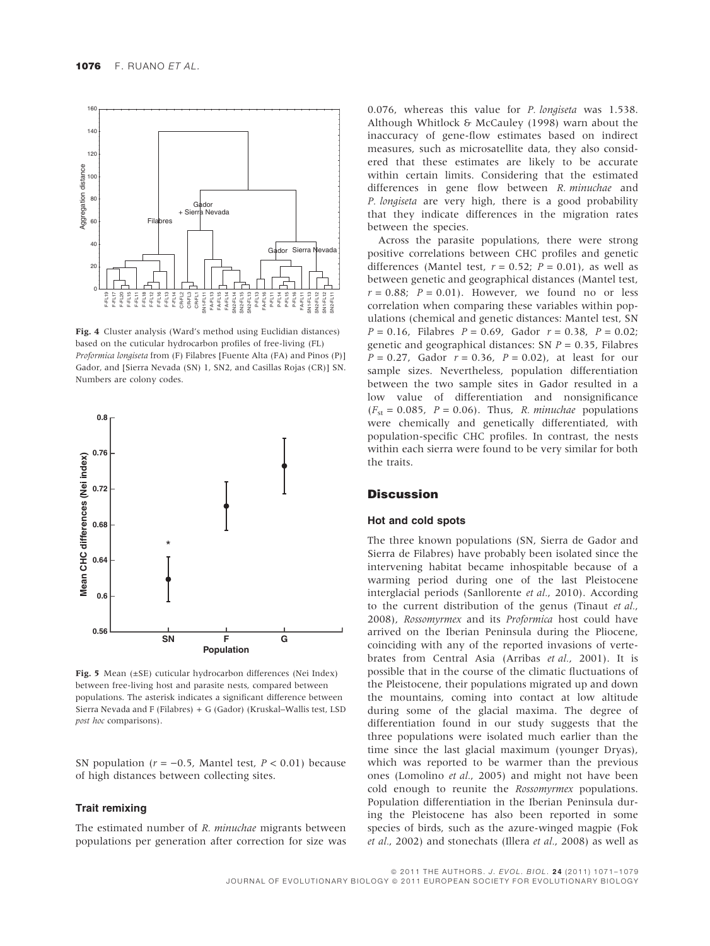

Fig. 4 Cluster analysis (Ward's method using Euclidian distances) based on the cuticular hydrocarbon profiles of free-living (FL) Proformica longiseta from (F) Filabres [Fuente Alta (FA) and Pinos (P)] Gador, and [Sierra Nevada (SN) 1, SN2, and Casillas Rojas (CR)] SN. Numbers are colony codes.



Fig. 5 Mean (±SE) cuticular hydrocarbon differences (Nei Index) between free-living host and parasite nests, compared between populations. The asterisk indicates a significant difference between Sierra Nevada and F (Filabres) + G (Gador) (Kruskal–Wallis test, LSD post hoc comparisons).

SN population ( $r = -0.5$ , Mantel test,  $P < 0.01$ ) because of high distances between collecting sites.

## Trait remixing

The estimated number of R. minuchae migrants between populations per generation after correction for size was 0.076, whereas this value for P. longiseta was 1.538. Although Whitlock & McCauley (1998) warn about the inaccuracy of gene-flow estimates based on indirect measures, such as microsatellite data, they also considered that these estimates are likely to be accurate within certain limits. Considering that the estimated differences in gene flow between R. minuchae and P. longiseta are very high, there is a good probability that they indicate differences in the migration rates between the species.

Across the parasite populations, there were strong positive correlations between CHC profiles and genetic differences (Mantel test,  $r = 0.52$ ;  $P = 0.01$ ), as well as between genetic and geographical distances (Mantel test,  $r = 0.88$ ;  $P = 0.01$ ). However, we found no or less correlation when comparing these variables within populations (chemical and genetic distances: Mantel test, SN  $P = 0.16$ , Filabres  $P = 0.69$ , Gador  $r = 0.38$ ,  $P = 0.02$ ; genetic and geographical distances: SN  $P = 0.35$ , Filabres  $P = 0.27$ , Gador  $r = 0.36$ ,  $P = 0.02$ ), at least for our sample sizes. Nevertheless, population differentiation between the two sample sites in Gador resulted in a low value of differentiation and nonsignificance  $(F<sub>st</sub> = 0.085, P = 0.06)$ . Thus, R. minuchae populations were chemically and genetically differentiated, with population-specific CHC profiles. In contrast, the nests within each sierra were found to be very similar for both the traits.

# **Discussion**

#### Hot and cold spots

The three known populations (SN, Sierra de Gador and Sierra de Filabres) have probably been isolated since the intervening habitat became inhospitable because of a warming period during one of the last Pleistocene interglacial periods (Sanllorente et al., 2010). According to the current distribution of the genus (Tinaut et al., 2008), Rossomyrmex and its Proformica host could have arrived on the Iberian Peninsula during the Pliocene, coinciding with any of the reported invasions of vertebrates from Central Asia (Arribas et al., 2001). It is possible that in the course of the climatic fluctuations of the Pleistocene, their populations migrated up and down the mountains, coming into contact at low altitude during some of the glacial maxima. The degree of differentiation found in our study suggests that the three populations were isolated much earlier than the time since the last glacial maximum (younger Dryas), which was reported to be warmer than the previous ones (Lomolino et al., 2005) and might not have been cold enough to reunite the Rossomyrmex populations. Population differentiation in the Iberian Peninsula during the Pleistocene has also been reported in some species of birds, such as the azure-winged magpie (Fok et al., 2002) and stonechats (Illera et al., 2008) as well as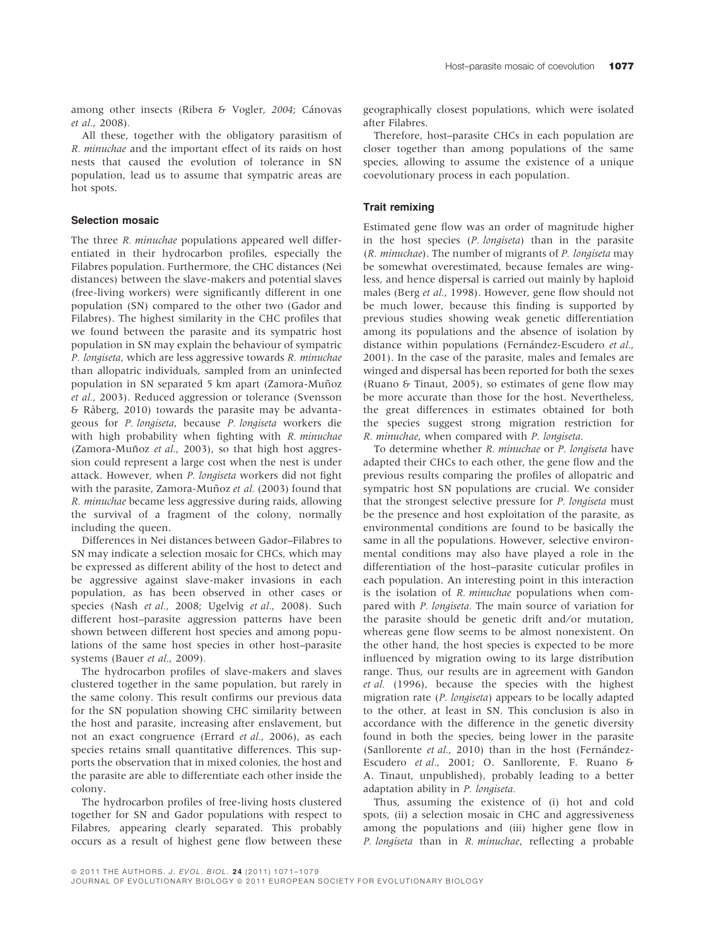among other insects (Ribera & Vogler, 2004; Cánovas et al., 2008).

All these, together with the obligatory parasitism of R. minuchae and the important effect of its raids on host nests that caused the evolution of tolerance in SN population, lead us to assume that sympatric areas are hot spots.

## Selection mosaic

The three R. minuchae populations appeared well differentiated in their hydrocarbon profiles, especially the Filabres population. Furthermore, the CHC distances (Nei distances) between the slave-makers and potential slaves (free-living workers) were significantly different in one population (SN) compared to the other two (Gador and Filabres). The highest similarity in the CHC profiles that we found between the parasite and its sympatric host population in SN may explain the behaviour of sympatric P. longiseta, which are less aggressive towards R. minuchae than allopatric individuals, sampled from an uninfected population in SN separated 5 km apart (Zamora-Muñoz et al., 2003). Reduced aggression or tolerance (Svensson & Ra˚berg, 2010) towards the parasite may be advantageous for P. longiseta, because P. longiseta workers die with high probability when fighting with R. minuchae (Zamora-Muñoz et al., 2003), so that high host aggression could represent a large cost when the nest is under attack. However, when P. longiseta workers did not fight with the parasite, Zamora-Muñoz et al. (2003) found that R. minuchae became less aggressive during raids, allowing the survival of a fragment of the colony, normally including the queen.

Differences in Nei distances between Gador–Filabres to SN may indicate a selection mosaic for CHCs, which may be expressed as different ability of the host to detect and be aggressive against slave-maker invasions in each population, as has been observed in other cases or species (Nash et al., 2008; Ugelvig et al., 2008). Such different host–parasite aggression patterns have been shown between different host species and among populations of the same host species in other host–parasite systems (Bauer et al., 2009).

The hydrocarbon profiles of slave-makers and slaves clustered together in the same population, but rarely in the same colony. This result confirms our previous data for the SN population showing CHC similarity between the host and parasite, increasing after enslavement, but not an exact congruence (Errard et al., 2006), as each species retains small quantitative differences. This supports the observation that in mixed colonies, the host and the parasite are able to differentiate each other inside the colony.

The hydrocarbon profiles of free-living hosts clustered together for SN and Gador populations with respect to Filabres, appearing clearly separated. This probably occurs as a result of highest gene flow between these geographically closest populations, which were isolated after Filabres.

Therefore, host–parasite CHCs in each population are closer together than among populations of the same species, allowing to assume the existence of a unique coevolutionary process in each population.

## Trait remixing

Estimated gene flow was an order of magnitude higher in the host species (P. longiseta) than in the parasite (R. minuchae). The number of migrants of P. longiseta may be somewhat overestimated, because females are wingless, and hence dispersal is carried out mainly by haploid males (Berg et al., 1998). However, gene flow should not be much lower, because this finding is supported by previous studies showing weak genetic differentiation among its populations and the absence of isolation by distance within populations (Fernández-Escudero et al., 2001). In the case of the parasite, males and females are winged and dispersal has been reported for both the sexes (Ruano & Tinaut, 2005), so estimates of gene flow may be more accurate than those for the host. Nevertheless, the great differences in estimates obtained for both the species suggest strong migration restriction for R. minuchae, when compared with P. longiseta.

To determine whether R. minuchae or P. longiseta have adapted their CHCs to each other, the gene flow and the previous results comparing the profiles of allopatric and sympatric host SN populations are crucial. We consider that the strongest selective pressure for P. longiseta must be the presence and host exploitation of the parasite, as environmental conditions are found to be basically the same in all the populations. However, selective environmental conditions may also have played a role in the differentiation of the host–parasite cuticular profiles in each population. An interesting point in this interaction is the isolation of R. minuchae populations when compared with P. longiseta. The main source of variation for the parasite should be genetic drift and/or mutation, whereas gene flow seems to be almost nonexistent. On the other hand, the host species is expected to be more influenced by migration owing to its large distribution range. Thus, our results are in agreement with Gandon et al. (1996), because the species with the highest migration rate (P. longiseta) appears to be locally adapted to the other, at least in SN. This conclusion is also in accordance with the difference in the genetic diversity found in both the species, being lower in the parasite (Sanllorente et al., 2010) than in the host (Fernández-Escudero et al., 2001; O. Sanllorente, F. Ruano & A. Tinaut, unpublished), probably leading to a better adaptation ability in P. longiseta.

Thus, assuming the existence of (i) hot and cold spots, (ii) a selection mosaic in CHC and aggressiveness among the populations and (iii) higher gene flow in P. longiseta than in R. minuchae, reflecting a probable

ª 2011 THE AUTHORS. J. EVOL. BIOL. 2 4 (2011) 1071–1079

JOURNAL OF EVOLUTIONARY BIOLOGY ª 2011 EUROPEAN SOCIETY FOR EVOLUTIONARY BIOLOGY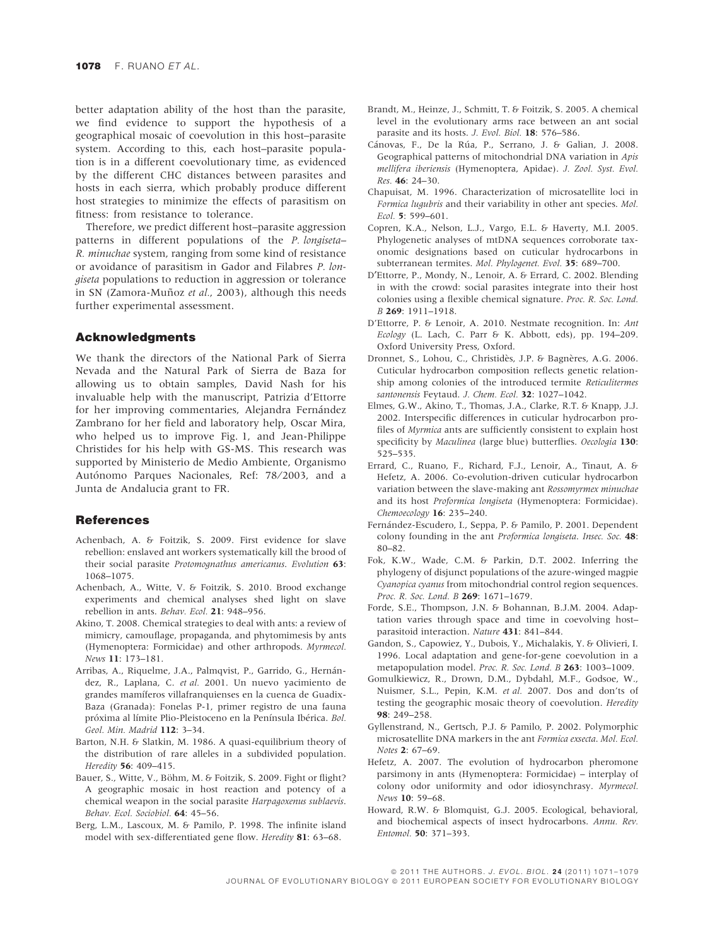better adaptation ability of the host than the parasite, we find evidence to support the hypothesis of a geographical mosaic of coevolution in this host–parasite system. According to this, each host–parasite population is in a different coevolutionary time, as evidenced by the different CHC distances between parasites and hosts in each sierra, which probably produce different host strategies to minimize the effects of parasitism on fitness: from resistance to tolerance.

Therefore, we predict different host–parasite aggression patterns in different populations of the P. longiseta-R. minuchae system, ranging from some kind of resistance or avoidance of parasitism in Gador and Filabres P. longiseta populations to reduction in aggression or tolerance in SN (Zamora-Muñoz et al., 2003), although this needs further experimental assessment.

## Acknowledgments

We thank the directors of the National Park of Sierra Nevada and the Natural Park of Sierra de Baza for allowing us to obtain samples, David Nash for his invaluable help with the manuscript, Patrizia d'Ettorre for her improving commentaries, Alejandra Fernández Zambrano for her field and laboratory help, Oscar Mira, who helped us to improve Fig. 1, and Jean-Philippe Christides for his help with GS-MS. This research was supported by Ministerio de Medio Ambiente, Organismo Autónomo Parques Nacionales, Ref: 78/2003, and a Junta de Andalucia grant to FR.

## **References**

- Achenbach, A. & Foitzik, S. 2009. First evidence for slave rebellion: enslaved ant workers systematically kill the brood of their social parasite Protomognathus americanus. Evolution 63: 1068–1075.
- Achenbach, A., Witte, V. & Foitzik, S. 2010. Brood exchange experiments and chemical analyses shed light on slave rebellion in ants. Behav. Ecol. 21: 948-956.
- Akino, T. 2008. Chemical strategies to deal with ants: a review of mimicry, camouflage, propaganda, and phytomimesis by ants (Hymenoptera: Formicidae) and other arthropods. Myrmecol. News 11: 173–181.
- Arribas, A., Riquelme, J.A., Palmqvist, P., Garrido, G., Hernández, R., Laplana, C. et al. 2001. Un nuevo yacimiento de grandes mamíferos villafranquienses en la cuenca de Guadix-Baza (Granada): Fonelas P-1, primer registro de una fauna próxima al límite Plio-Pleistoceno en la Península Ibérica. Bol. Geol. Min. Madrid 112: 3–34.
- Barton, N.H. & Slatkin, M. 1986. A quasi-equilibrium theory of the distribution of rare alleles in a subdivided population. Heredity 56: 409–415.
- Bauer, S., Witte, V., Böhm, M. & Foitzik, S. 2009. Fight or flight? A geographic mosaic in host reaction and potency of a chemical weapon in the social parasite Harpagoxenus sublaevis. Behav. Ecol. Sociobiol. 64: 45–56.
- Berg, L.M., Lascoux, M. & Pamilo, P. 1998. The infinite island model with sex-differentiated gene flow. Heredity 81: 63–68.
- Brandt, M., Heinze, J., Schmitt, T. & Foitzik, S. 2005. A chemical level in the evolutionary arms race between an ant social parasite and its hosts. J. Evol. Biol. 18: 576–586.
- Cánovas, F., De la Rúa, P., Serrano, J. & Galian, J. 2008. Geographical patterns of mitochondrial DNA variation in Apis mellifera iberiensis (Hymenoptera, Apidae). J. Zool. Syst. Evol. Res. 46: 24–30.
- Chapuisat, M. 1996. Characterization of microsatellite loci in Formica lugubris and their variability in other ant species. Mol.  $Ecol. 5: 599 - 601$ .
- Copren, K.A., Nelson, L.J., Vargo, E.L. & Haverty, M.I. 2005. Phylogenetic analyses of mtDNA sequences corroborate taxonomic designations based on cuticular hydrocarbons in subterranean termites. Mol. Phylogenet. Evol. 35: 689–700.
- D'Ettorre, P., Mondy, N., Lenoir, A. & Errard, C. 2002. Blending in with the crowd: social parasites integrate into their host colonies using a flexible chemical signature. Proc. R. Soc. Lond. B 269: 1911–1918.
- D'Ettorre, P. & Lenoir, A. 2010. Nestmate recognition. In: Ant Ecology (L. Lach, C. Parr & K. Abbott, eds), pp. 194–209. Oxford University Press, Oxford.
- Dronnet, S., Lohou, C., Christidès, J.P. & Bagnères, A.G. 2006. Cuticular hydrocarbon composition reflects genetic relationship among colonies of the introduced termite Reticulitermes santonensis Feytaud. J. Chem. Ecol. 32: 1027-1042.
- Elmes, G.W., Akino, T., Thomas, J.A., Clarke, R.T. & Knapp, J.J. 2002. Interspecific differences in cuticular hydrocarbon profiles of Myrmica ants are sufficiently consistent to explain host specificity by Maculinea (large blue) butterflies. Oecologia 130: 525–535.
- Errard, C., Ruano, F., Richard, F.J., Lenoir, A., Tinaut, A. & Hefetz, A. 2006. Co-evolution-driven cuticular hydrocarbon variation between the slave-making ant Rossomyrmex minuchae and its host Proformica longiseta (Hymenoptera: Formicidae). Chemoecology 16: 235-240.
- Fernández-Escudero, I., Seppa, P. & Pamilo, P. 2001. Dependent colony founding in the ant Proformica longiseta. Insec. Soc. 48: 80–82.
- Fok, K.W., Wade, C.M. & Parkin, D.T. 2002. Inferring the phylogeny of disjunct populations of the azure-winged magpie Cyanopica cyanus from mitochondrial control region sequences. Proc. R. Soc. Lond. B 269: 1671-1679.
- Forde, S.E., Thompson, J.N. & Bohannan, B.J.M. 2004. Adaptation varies through space and time in coevolving host– parasitoid interaction. Nature 431: 841–844.
- Gandon, S., Capowiez, Y., Dubois, Y., Michalakis, Y. & Olivieri, I. 1996. Local adaptation and gene-for-gene coevolution in a metapopulation model. Proc. R. Soc. Lond. B 263: 1003–1009.
- Gomulkiewicz, R., Drown, D.M., Dybdahl, M.F., Godsoe, W., Nuismer, S.L., Pepin, K.M. et al. 2007. Dos and don'ts of testing the geographic mosaic theory of coevolution. Heredity 98: 249–258.
- Gyllenstrand, N., Gertsch, P.J. & Pamilo, P. 2002. Polymorphic microsatellite DNA markers in the ant Formica exsecta. Mol. Ecol. Notes 2: 67–69.
- Hefetz, A. 2007. The evolution of hydrocarbon pheromone parsimony in ants (Hymenoptera: Formicidae) – interplay of colony odor uniformity and odor idiosynchrasy. Myrmecol. News 10: 59–68.
- Howard, R.W. & Blomquist, G.J. 2005. Ecological, behavioral, and biochemical aspects of insect hydrocarbons. Annu. Rev. Entomol. 50: 371–393.